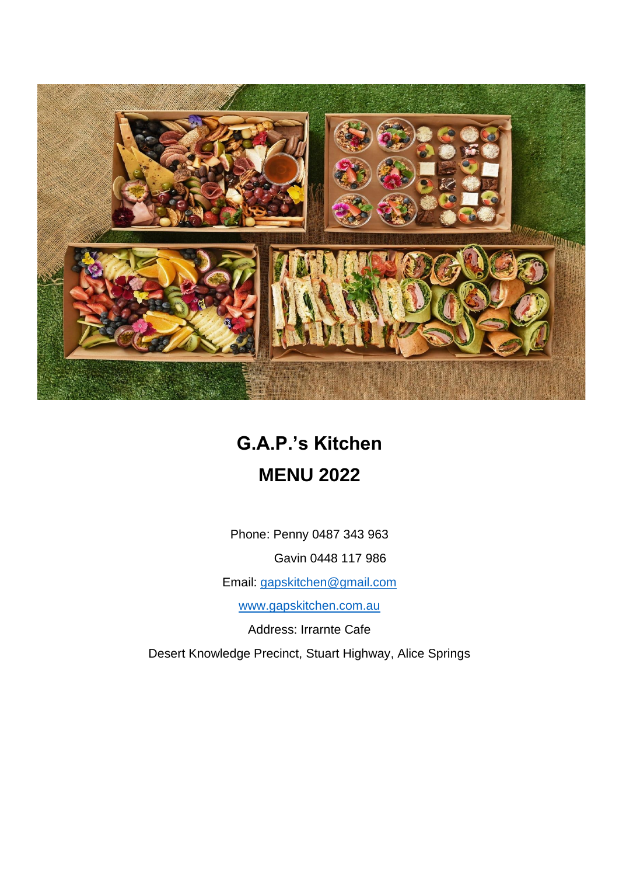

# **G.A.P.'s Kitchen MENU 2022**

Phone: Penny 0487 343 963

Gavin 0448 117 986

Email: [gapskitchen@gmail.com](mailto:gapskitchen@gmail.com)

[www.gapskitchen.com.au](http://www.gapskitchen.com.au/)

Address: Irrarnte Cafe

Desert Knowledge Precinct, Stuart Highway, Alice Springs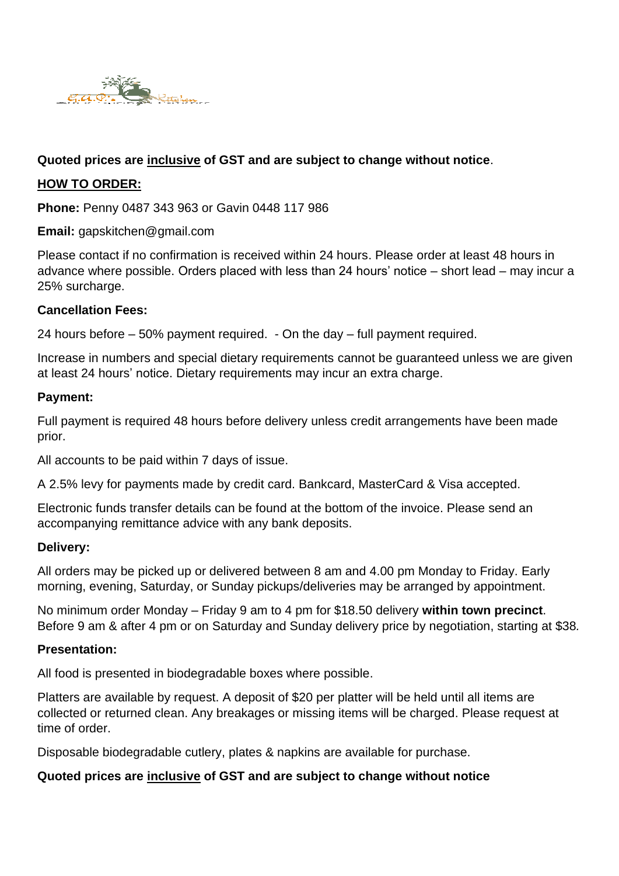

# **Quoted prices are inclusive of GST and are subject to change without notice**.

## **HOW TO ORDER:**

**Phone:** Penny 0487 343 963 or Gavin 0448 117 986

**Email:** gapskitchen@gmail.com

Please contact if no confirmation is received within 24 hours. Please order at least 48 hours in advance where possible. Orders placed with less than 24 hours' notice – short lead – may incur a 25% surcharge.

## **Cancellation Fees:**

24 hours before – 50% payment required. - On the day – full payment required.

Increase in numbers and special dietary requirements cannot be guaranteed unless we are given at least 24 hours' notice. Dietary requirements may incur an extra charge.

#### **Payment:**

Full payment is required 48 hours before delivery unless credit arrangements have been made prior.

All accounts to be paid within 7 days of issue.

A 2.5% levy for payments made by credit card. Bankcard, MasterCard & Visa accepted.

Electronic funds transfer details can be found at the bottom of the invoice. Please send an accompanying remittance advice with any bank deposits.

#### **Delivery:**

All orders may be picked up or delivered between 8 am and 4.00 pm Monday to Friday. Early morning, evening, Saturday, or Sunday pickups/deliveries may be arranged by appointment.

No minimum order Monday – Friday 9 am to 4 pm for \$18.50 delivery **within town precinct**. Before 9 am & after 4 pm or on Saturday and Sunday delivery price by negotiation, starting at \$38*.*

#### **Presentation:**

All food is presented in biodegradable boxes where possible.

Platters are available by request. A deposit of \$20 per platter will be held until all items are collected or returned clean. Any breakages or missing items will be charged. Please request at time of order.

Disposable biodegradable cutlery, plates & napkins are available for purchase.

## **Quoted prices are inclusive of GST and are subject to change without notice**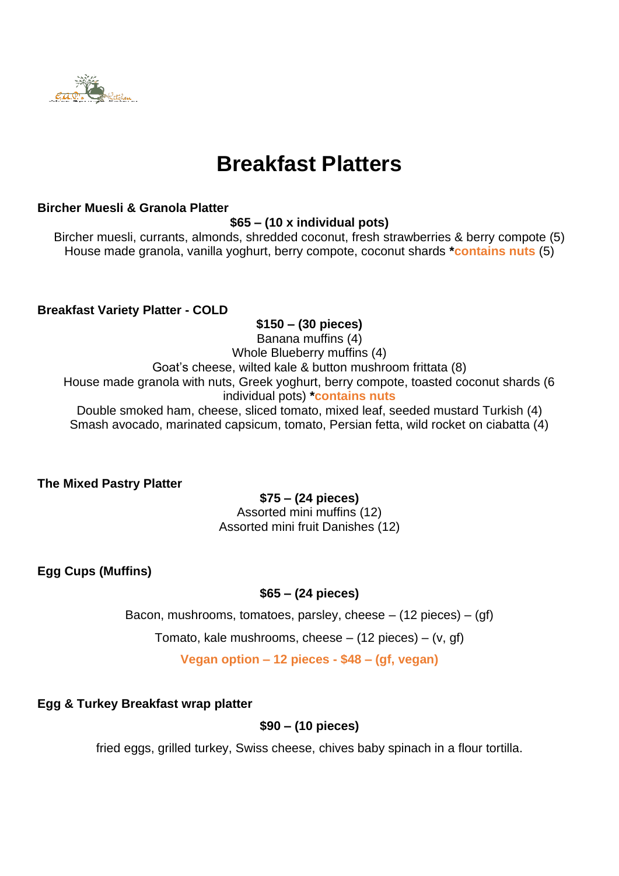

# **Breakfast Platters**

## **Bircher Muesli & Granola Platter**

**\$65 – (10 x individual pots)**

Bircher muesli, currants, almonds, shredded coconut, fresh strawberries & berry compote (5) House made granola, vanilla yoghurt, berry compote, coconut shards **\*contains nuts** (5)

**Breakfast Variety Platter - COLD**

## **\$150 – (30 pieces)**

Banana muffins (4) Whole Blueberry muffins (4) Goat's cheese, wilted kale & button mushroom frittata (8) House made granola with nuts, Greek yoghurt, berry compote, toasted coconut shards (6 individual pots) **\*contains nuts** Double smoked ham, cheese, sliced tomato, mixed leaf, seeded mustard Turkish (4) Smash avocado, marinated capsicum, tomato, Persian fetta, wild rocket on ciabatta (4)

**The Mixed Pastry Platter** 

**\$75 – (24 pieces)** Assorted mini muffins (12) Assorted mini fruit Danishes (12)

**Egg Cups (Muffins)** 

# **\$65 – (24 pieces)**

Bacon, mushrooms, tomatoes, parsley, cheese  $-$  (12 pieces)  $-$  (gf)

Tomato, kale mushrooms, cheese  $-$  (12 pieces)  $-$  (v, gf)

**Vegan option – 12 pieces - \$48 – (gf, vegan)**

# **Egg & Turkey Breakfast wrap platter**

# **\$90 – (10 pieces)**

fried eggs, grilled turkey, Swiss cheese, chives baby spinach in a flour tortilla.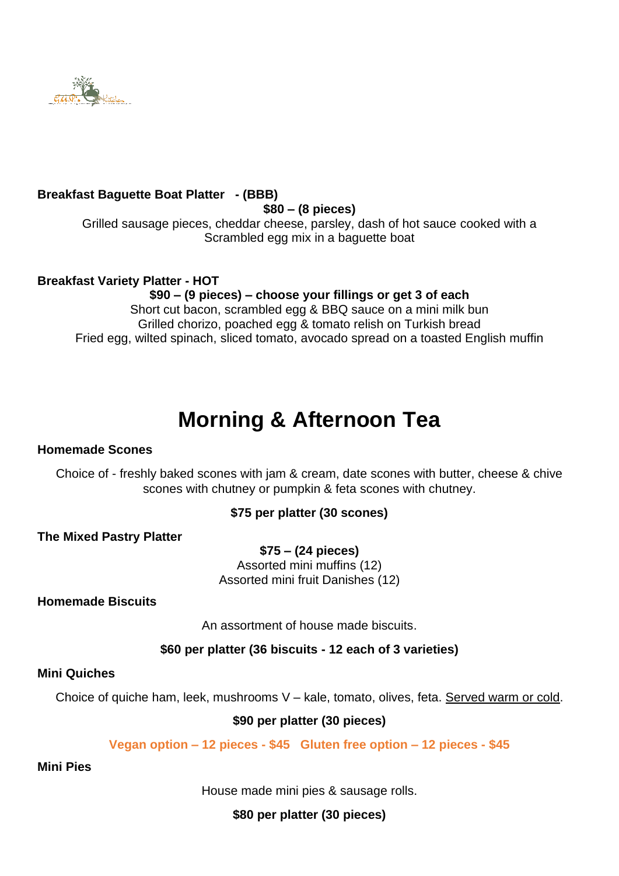

## **Breakfast Baguette Boat Platter - (BBB)**

#### **\$80 – (8 pieces)**

Grilled sausage pieces, cheddar cheese, parsley, dash of hot sauce cooked with a Scrambled egg mix in a baguette boat

## **Breakfast Variety Platter - HOT**

**\$90 – (9 pieces) – choose your fillings or get 3 of each**  Short cut bacon, scrambled egg & BBQ sauce on a mini milk bun Grilled chorizo, poached egg & tomato relish on Turkish bread Fried egg, wilted spinach, sliced tomato, avocado spread on a toasted English muffin

# **Morning & Afternoon Tea**

## **Homemade Scones**

Choice of - freshly baked scones with jam & cream, date scones with butter, cheese & chive scones with chutney or pumpkin & feta scones with chutney.

## **\$75 per platter (30 scones)**

**The Mixed Pastry Platter** 

**\$75 – (24 pieces)** Assorted mini muffins (12) Assorted mini fruit Danishes (12)

**Homemade Biscuits**

An assortment of house made biscuits.

**\$60 per platter (36 biscuits - 12 each of 3 varieties)**

#### **Mini Quiches**

Choice of quiche ham, leek, mushrooms V – kale, tomato, olives, feta. Served warm or cold.

## **\$90 per platter (30 pieces)**

**Vegan option – 12 pieces - \$45 Gluten free option – 12 pieces - \$45**

#### **Mini Pies**

House made mini pies & sausage rolls.

**\$80 per platter (30 pieces)**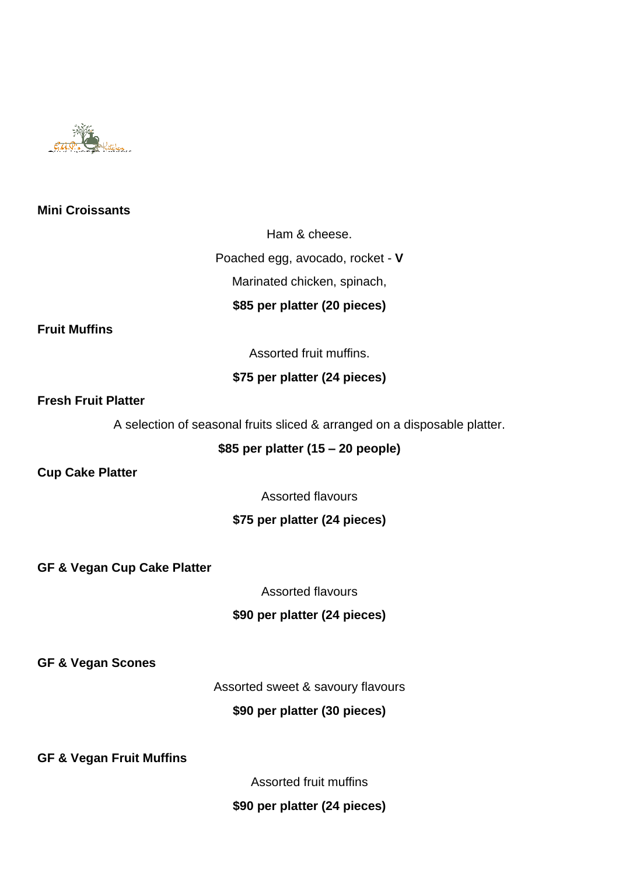

## **Mini Croissants**

Ham & cheese.

Poached egg, avocado, rocket - **V**

Marinated chicken, spinach,

## **\$85 per platter (20 pieces)**

**Fruit Muffins** 

Assorted fruit muffins.

## **\$75 per platter (24 pieces)**

#### **Fresh Fruit Platter**

A selection of seasonal fruits sliced & arranged on a disposable platter.

## **\$85 per platter (15 – 20 people)**

**Cup Cake Platter** 

Assorted flavours

## **\$75 per platter (24 pieces)**

**GF & Vegan Cup Cake Platter**

Assorted flavours

## **\$90 per platter (24 pieces)**

**GF & Vegan Scones**

Assorted sweet & savoury flavours

## **\$90 per platter (30 pieces)**

**GF & Vegan Fruit Muffins**

Assorted fruit muffins

## **\$90 per platter (24 pieces)**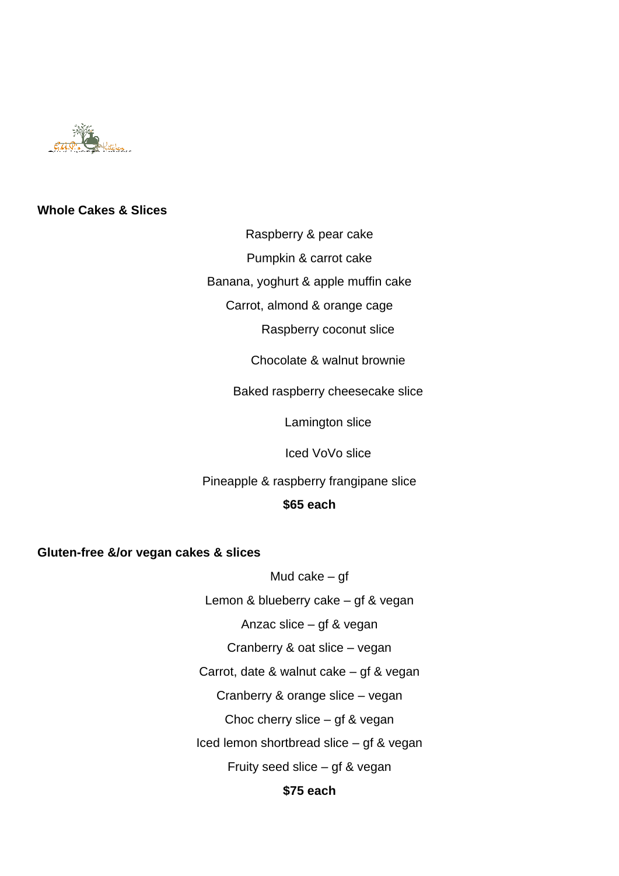

#### **Whole Cakes & Slices**

Raspberry & pear cake

Pumpkin & carrot cake

Banana, yoghurt & apple muffin cake

Carrot, almond & orange cage

Raspberry coconut slice

Chocolate & walnut brownie

Baked raspberry cheesecake slice

Lamington slice

Iced VoVo slice

Pineapple & raspberry frangipane slice

#### **\$65 each**

**Gluten-free &/or vegan cakes & slices**

Mud cake – gf

Lemon & blueberry cake – gf & vegan

Anzac slice – gf & vegan

Cranberry & oat slice – vegan

Carrot, date & walnut cake – gf & vegan

Cranberry & orange slice – vegan

Choc cherry slice – gf & vegan

Iced lemon shortbread slice – gf & vegan

Fruity seed slice – gf & vegan

## **\$75 each**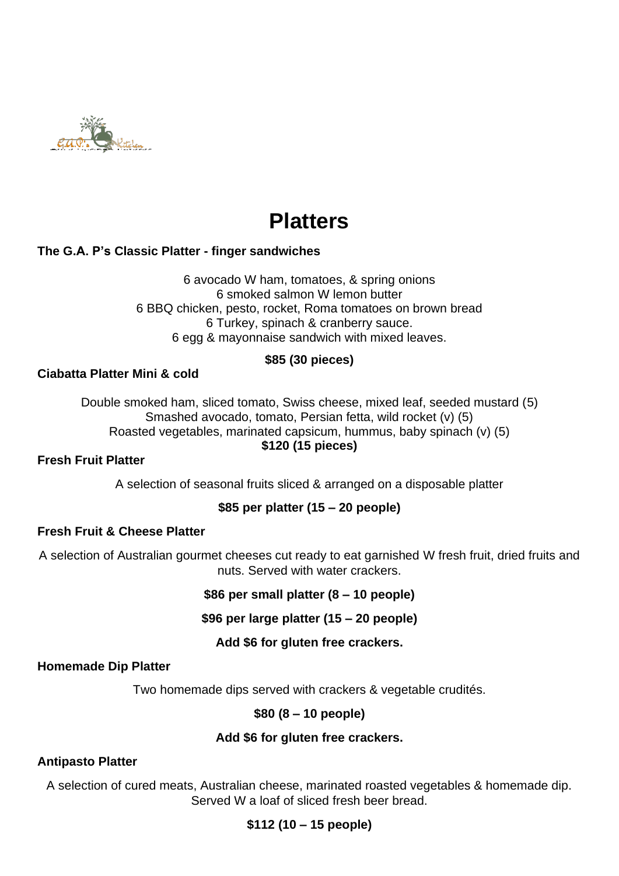

# **Platters**

# **The G.A. P's Classic Platter - finger sandwiches**

6 avocado W ham, tomatoes, & spring onions 6 smoked salmon W lemon butter 6 BBQ chicken, pesto, rocket, Roma tomatoes on brown bread 6 Turkey, spinach & cranberry sauce. 6 egg & mayonnaise sandwich with mixed leaves.

## **\$85 (30 pieces)**

## **Ciabatta Platter Mini & cold**

Double smoked ham, sliced tomato, Swiss cheese, mixed leaf, seeded mustard (5) Smashed avocado, tomato, Persian fetta, wild rocket (v) (5) Roasted vegetables, marinated capsicum, hummus, baby spinach (v) (5) **\$120 (15 pieces)**

## **Fresh Fruit Platter**

A selection of seasonal fruits sliced & arranged on a disposable platter

## **\$85 per platter (15 – 20 people)**

## **Fresh Fruit & Cheese Platter**

A selection of Australian gourmet cheeses cut ready to eat garnished W fresh fruit, dried fruits and nuts. Served with water crackers.

## **\$86 per small platter (8 – 10 people)**

## **\$96 per large platter (15 – 20 people)**

## **Add \$6 for gluten free crackers.**

## **Homemade Dip Platter**

Two homemade dips served with crackers & vegetable crudités.

## **\$80 (8 – 10 people)**

## **Add \$6 for gluten free crackers.**

# **Antipasto Platter**

A selection of cured meats, Australian cheese, marinated roasted vegetables & homemade dip. Served W a loaf of sliced fresh beer bread.

# **\$112 (10 – 15 people)**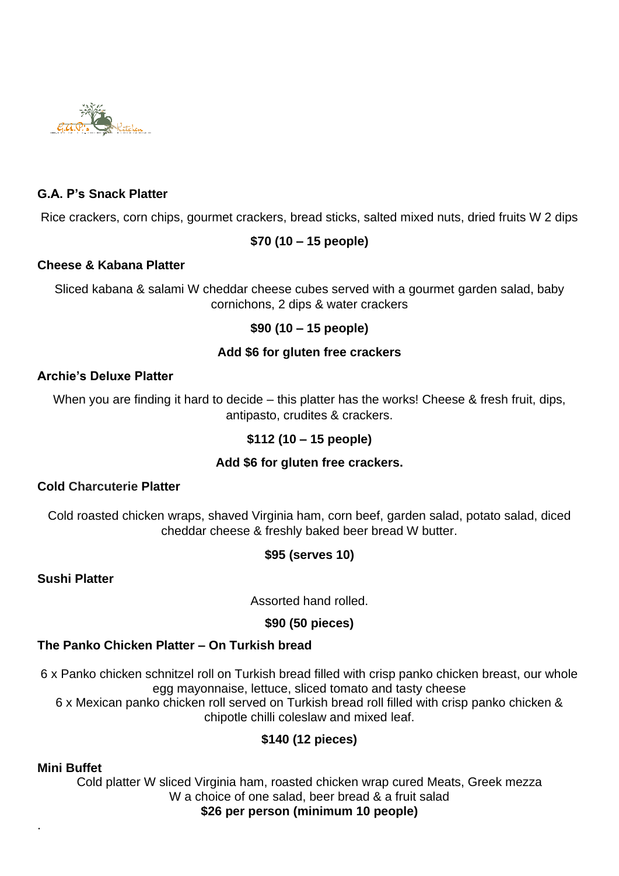

# **G.A. P's Snack Platter**

Rice crackers, corn chips, gourmet crackers, bread sticks, salted mixed nuts, dried fruits W 2 dips

## **\$70 (10 – 15 people)**

## **Cheese & Kabana Platter**

Sliced kabana & salami W cheddar cheese cubes served with a gourmet garden salad, baby cornichons, 2 dips & water crackers

## **\$90 (10 – 15 people)**

## **Add \$6 for gluten free crackers**

## **Archie's Deluxe Platter**

When you are finding it hard to decide – this platter has the works! Cheese & fresh fruit, dips, antipasto, crudites & crackers.

# **\$112 (10 – 15 people)**

## **Add \$6 for gluten free crackers.**

## **Cold Charcuterie Platter**

Cold roasted chicken wraps, shaved Virginia ham, corn beef, garden salad, potato salad, diced cheddar cheese & freshly baked beer bread W butter.

# **\$95 (serves 10)**

**Sushi Platter** 

Assorted hand rolled.

# **\$90 (50 pieces)**

# **The Panko Chicken Platter – On Turkish bread**

6 x Panko chicken schnitzel roll on Turkish bread filled with crisp panko chicken breast, our whole egg mayonnaise, lettuce, sliced tomato and tasty cheese

6 x Mexican panko chicken roll served on Turkish bread roll filled with crisp panko chicken & chipotle chilli coleslaw and mixed leaf.

# **\$140 (12 pieces)**

## **Mini Buffet**

.

Cold platter W sliced Virginia ham, roasted chicken wrap cured Meats, Greek mezza W a choice of one salad, beer bread & a fruit salad **\$26 per person (minimum 10 people)**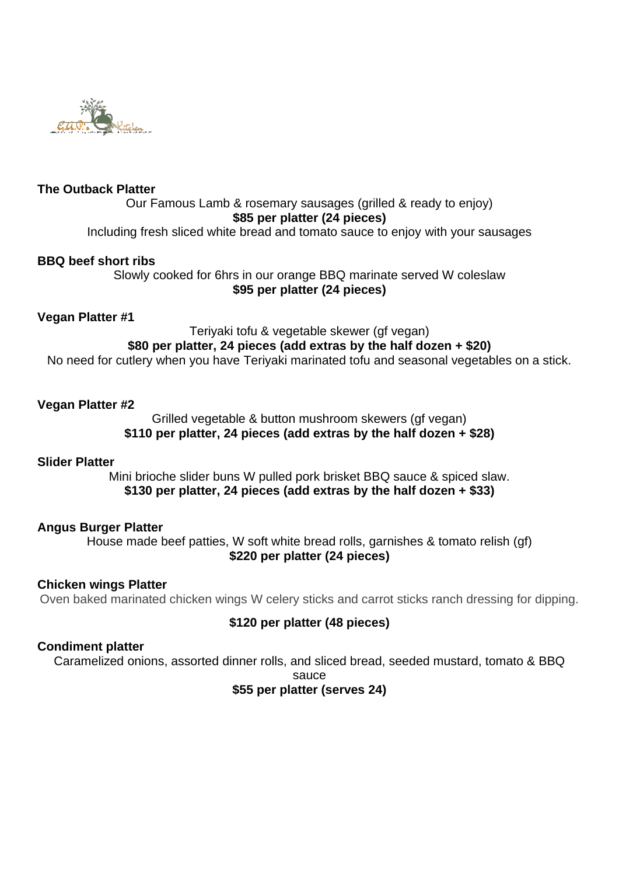

## **The Outback Platter**

# Our Famous Lamb & rosemary sausages (grilled & ready to enjoy) **\$85 per platter (24 pieces)**

Including fresh sliced white bread and tomato sauce to enjoy with your sausages

#### **BBQ beef short ribs**

Slowly cooked for 6hrs in our orange BBQ marinate served W coleslaw **\$95 per platter (24 pieces)**

#### **Vegan Platter #1**

#### Teriyaki tofu & vegetable skewer (gf vegan) **\$80 per platter, 24 pieces (add extras by the half dozen + \$20)** No need for cutlery when you have Teriyaki marinated tofu and seasonal vegetables on a stick.

#### **Vegan Platter #2**

Grilled vegetable & button mushroom skewers (gf vegan) **\$110 per platter, 24 pieces (add extras by the half dozen + \$28)**

#### **Slider Platter**

Mini brioche slider buns W pulled pork brisket BBQ sauce & spiced slaw. **\$130 per platter, 24 pieces (add extras by the half dozen + \$33)**

#### **Angus Burger Platter**

House made beef patties, W soft white bread rolls, garnishes & tomato relish (gf) **\$220 per platter (24 pieces)**

#### **Chicken wings Platter**

Oven baked marinated chicken wings W celery sticks and carrot sticks ranch dressing for dipping.

## **\$120 per platter (48 pieces)**

#### **Condiment platter**

Caramelized onions, assorted dinner rolls, and sliced bread, seeded mustard, tomato & BBQ

sauce

## **\$55 per platter (serves 24)**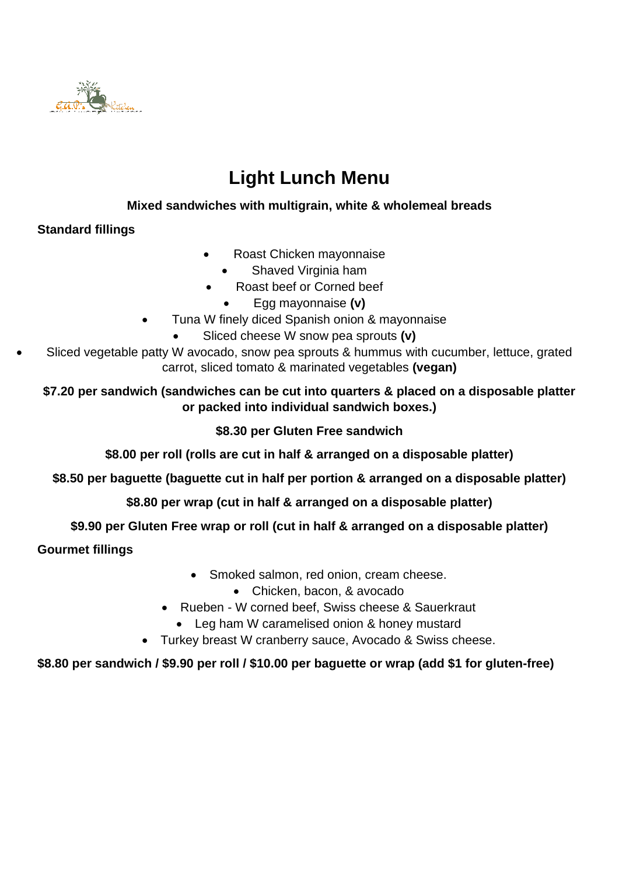

# **Light Lunch Menu**

# **Mixed sandwiches with multigrain, white & wholemeal breads**

# **Standard fillings**

- Roast Chicken mayonnaise
	- Shaved Virginia ham
- Roast beef or Corned beef
	- Egg mayonnaise **(v)**
- Tuna W finely diced Spanish onion & mayonnaise
	- Sliced cheese W snow pea sprouts **(v)**
- Sliced vegetable patty W avocado, snow pea sprouts & hummus with cucumber, lettuce, grated carrot, sliced tomato & marinated vegetables **(vegan)**

# **\$7.20 per sandwich (sandwiches can be cut into quarters & placed on a disposable platter or packed into individual sandwich boxes.)**

# **\$8.30 per Gluten Free sandwich**

# **\$8.00 per roll (rolls are cut in half & arranged on a disposable platter)**

**\$8.50 per baguette (baguette cut in half per portion & arranged on a disposable platter)**

# **\$8.80 per wrap (cut in half & arranged on a disposable platter)**

# **\$9.90 per Gluten Free wrap or roll (cut in half & arranged on a disposable platter)**

# **Gourmet fillings**

- Smoked salmon, red onion, cream cheese.
	- Chicken, bacon, & avocado
- Rueben W corned beef, Swiss cheese & Sauerkraut
	- Leg ham W caramelised onion & honey mustard
- Turkey breast W cranberry sauce, Avocado & Swiss cheese.

# **\$8.80 per sandwich / \$9.90 per roll / \$10.00 per baguette or wrap (add \$1 for gluten-free)**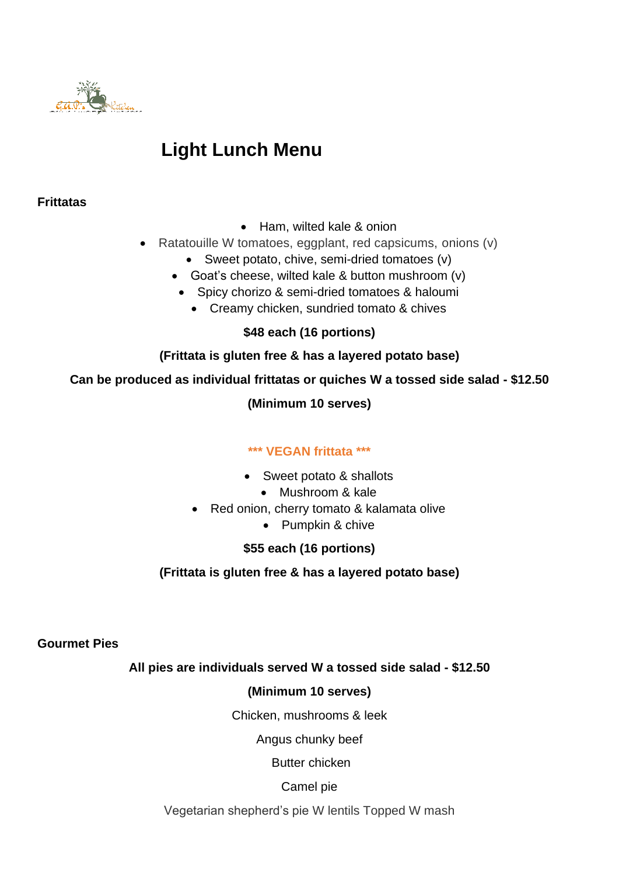

# **Light Lunch Menu**

# **Frittatas**

- Ham, wilted kale & onion
- Ratatouille W tomatoes, eggplant, red capsicums, onions (v)
	- Sweet potato, chive, semi-dried tomatoes (v)
	- Goat's cheese, wilted kale & button mushroom (v)
		- Spicy chorizo & semi-dried tomatoes & haloumi
			- Creamy chicken, sundried tomato & chives

**\$48 each (16 portions)**

# **(Frittata is gluten free & has a layered potato base)**

**Can be produced as individual frittatas or quiches W a tossed side salad - \$12.50**

**(Minimum 10 serves)**

# **\*\*\* VEGAN frittata \*\*\***

- Sweet potato & shallots
	- Mushroom & kale
- Red onion, cherry tomato & kalamata olive
	- Pumpkin & chive

# **\$55 each (16 portions)**

**(Frittata is gluten free & has a layered potato base)**

**Gourmet Pies** 

# **All pies are individuals served W a tossed side salad - \$12.50**

# **(Minimum 10 serves)**

Chicken, mushrooms & leek

Angus chunky beef

Butter chicken

Camel pie

Vegetarian shepherd's pie W lentils Topped W mash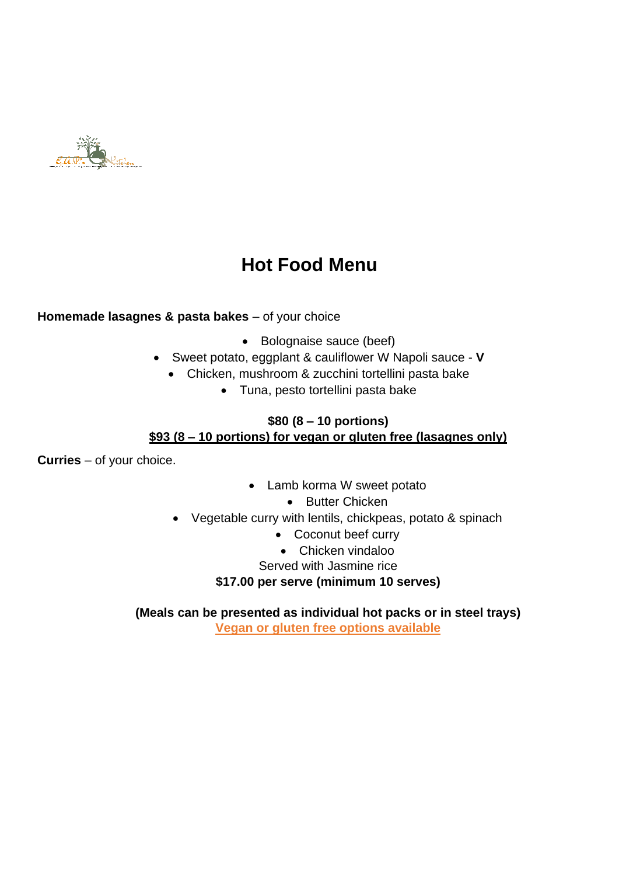

# **Hot Food Menu**

# **Homemade lasagnes & pasta bakes** – of your choice

- Bolognaise sauce (beef)
- Sweet potato, eggplant & cauliflower W Napoli sauce **V**
	- Chicken, mushroom & zucchini tortellini pasta bake
		- Tuna, pesto tortellini pasta bake

## **\$80 (8 – 10 portions) \$93 (8 – 10 portions) for vegan or gluten free (lasagnes only)**

**Curries** – of your choice.

- Lamb korma W sweet potato
	- Butter Chicken
- Vegetable curry with lentils, chickpeas, potato & spinach
	- Coconut beef curry
	- Chicken vindaloo
	- Served with Jasmine rice

**\$17.00 per serve (minimum 10 serves)**

**(Meals can be presented as individual hot packs or in steel trays)**

**Vegan or gluten free options available**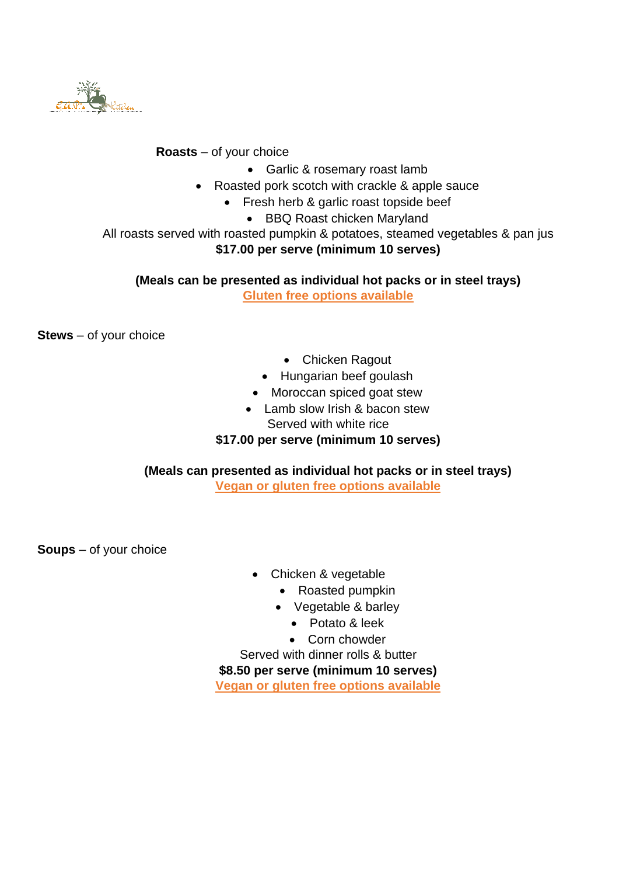

## **Roasts** – of your choice

- Garlic & rosemary roast lamb
- Roasted pork scotch with crackle & apple sauce
	- Fresh herb & garlic roast topside beef
		- BBQ Roast chicken Maryland

All roasts served with roasted pumpkin & potatoes, steamed vegetables & pan jus **\$17.00 per serve (minimum 10 serves)**

## **(Meals can be presented as individual hot packs or in steel trays) Gluten free options available**

**Stews** – of your choice

- Chicken Ragout
- Hungarian beef goulash
- Moroccan spiced goat stew
- Lamb slow Irish & bacon stew Served with white rice

## **\$17.00 per serve (minimum 10 serves)**

## **(Meals can presented as individual hot packs or in steel trays) Vegan or gluten free options available**

**Soups** – of your choice

- Chicken & vegetable
	- Roasted pumpkin
	- Vegetable & barley
		- Potato & leek
		- Corn chowder
- Served with dinner rolls & butter

**\$8.50 per serve (minimum 10 serves)**

**Vegan or gluten free options available**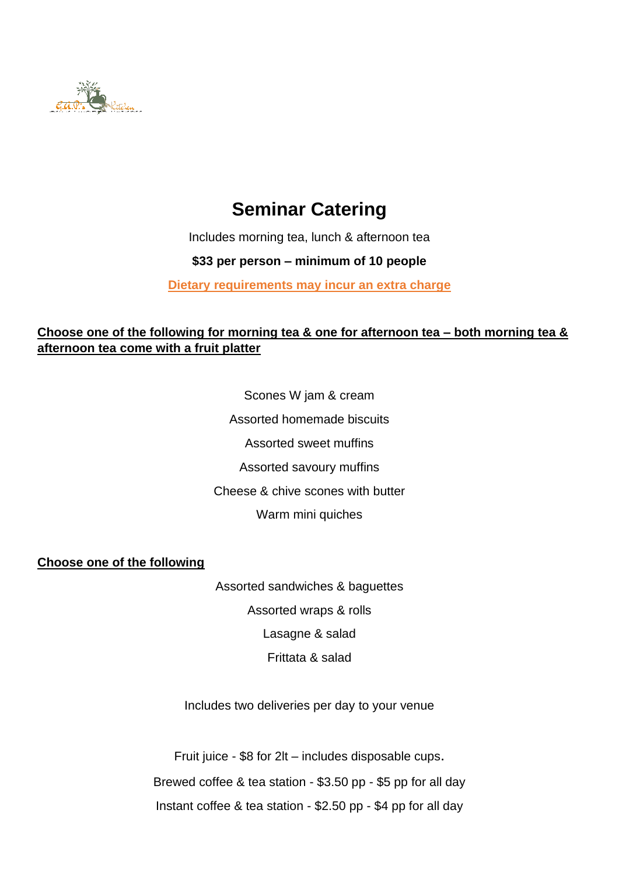

# **Seminar Catering**

Includes morning tea, lunch & afternoon tea

# **\$33 per person – minimum of 10 people**

**Dietary requirements may incur an extra charge**

# **Choose one of the following for morning tea & one for afternoon tea – both morning tea & afternoon tea come with a fruit platter**

Scones W jam & cream Assorted homemade biscuits Assorted sweet muffins Assorted savoury muffins Cheese & chive scones with butter Warm mini quiches

**Choose one of the following**

Assorted sandwiches & baguettes Assorted wraps & rolls Lasagne & salad Frittata & salad

Includes two deliveries per day to your venue

Fruit juice - \$8 for 2lt – includes disposable cups. Brewed coffee & tea station - \$3.50 pp - \$5 pp for all day Instant coffee & tea station - \$2.50 pp - \$4 pp for all day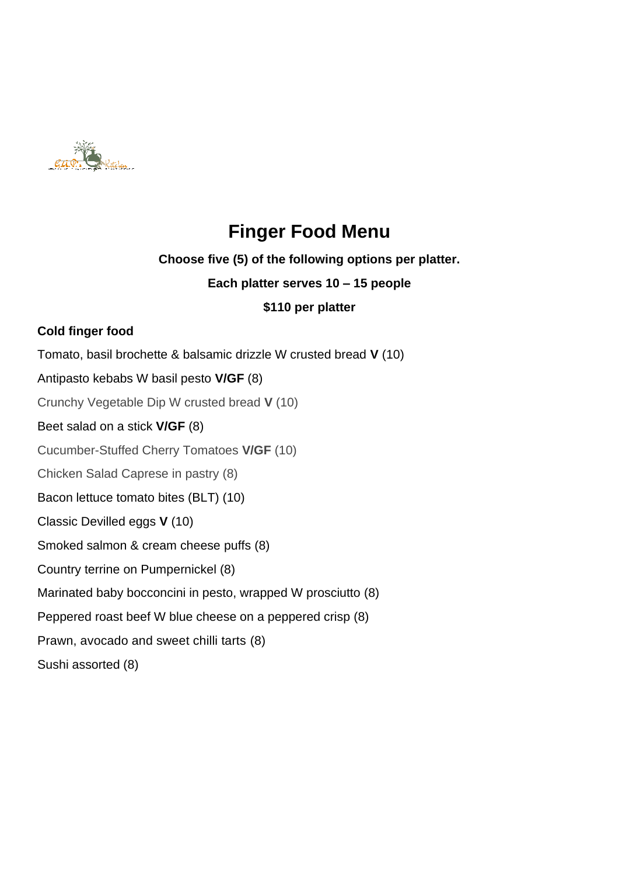

# **Finger Food Menu**

# **Choose five (5) of the following options per platter.**

# **Each platter serves 10 – 15 people**

# **\$110 per platter**

# **Cold finger food**

Tomato, basil brochette & balsamic drizzle W crusted bread **V** (10)

# Antipasto kebabs W basil pesto **V/GF** (8)

Crunchy Vegetable Dip W crusted bread **V** (10)

# Beet salad on a stick **V/GF** (8)

Cucumber-Stuffed Cherry Tomatoes **V/GF** (10)

Chicken Salad Caprese in pastry (8)

Bacon lettuce tomato bites (BLT) (10)

Classic Devilled eggs **V** (10)

Smoked salmon & cream cheese puffs (8)

Country terrine on Pumpernickel (8)

Marinated baby bocconcini in pesto, wrapped W prosciutto (8)

Peppered roast beef W blue cheese on a peppered crisp (8)

[Prawn, avocado and sweet chilli tarts](https://www.womensweeklyfood.com.au/recipes/prawn-avocado-and-sweet-chilli-tarts-4365) (8)

Sushi assorted (8)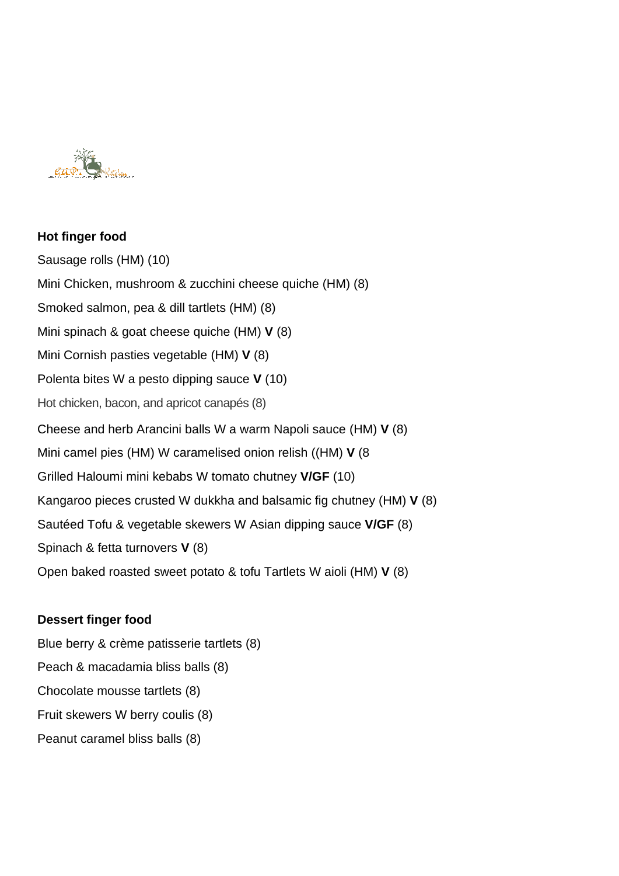

# **Hot finger food** Sausage rolls (HM) (10) Mini Chicken, mushroom & zucchini cheese quiche (HM) (8) Smoked salmon, pea & dill tartlets (HM) (8) Mini spinach & goat cheese quiche (HM) **V** (8) Mini Cornish pasties vegetable (HM) **V** (8) Polenta bites W a pesto dipping sauce **V** (10) Hot chicken, bacon, and apricot canapés (8) Cheese and herb Arancini balls W a warm Napoli sauce (HM) **V** (8) Mini camel pies (HM) W caramelised onion relish ((HM) **V** (8 Grilled Haloumi mini kebabs W tomato chutney **V/GF** (10) Kangaroo pieces crusted W dukkha and balsamic fig chutney (HM) **V** (8) Sautéed Tofu & vegetable skewers W Asian dipping sauce **V/GF** (8) Spinach & fetta turnovers **V** (8) Open baked roasted sweet potato & tofu Tartlets W aioli (HM) **V** (8)

# **Dessert finger food**

Blue berry & crème patisserie tartlets (8) Peach & macadamia bliss balls (8) Chocolate mousse tartlets (8) Fruit skewers W berry coulis (8) Peanut caramel bliss balls (8)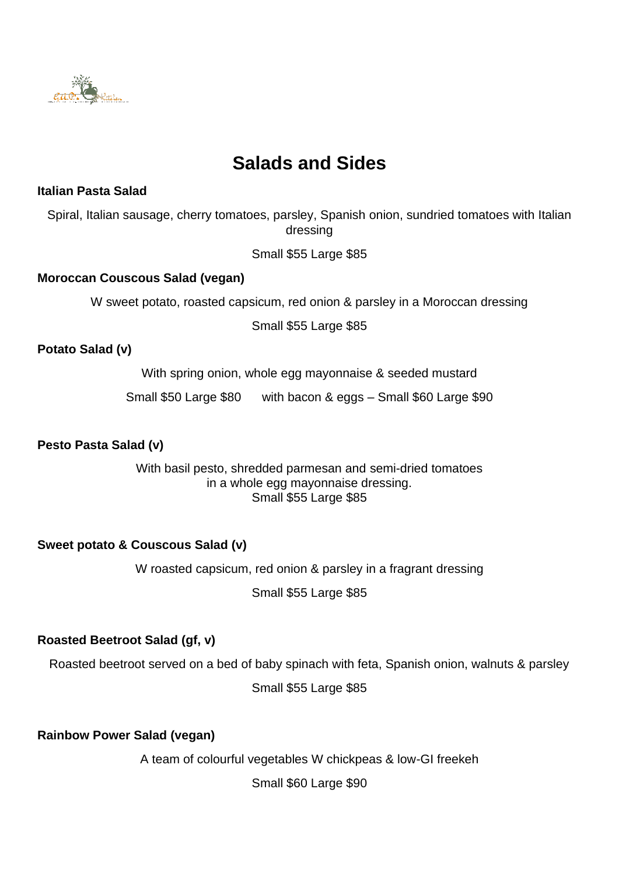

# **Salads and Sides**

## **Italian Pasta Salad**

Spiral, Italian sausage, cherry tomatoes, parsley, Spanish onion, sundried tomatoes with Italian dressing

Small \$55 Large \$85

## **Moroccan Couscous Salad (vegan)**

W sweet potato, roasted capsicum, red onion & parsley in a Moroccan dressing

Small \$55 Large \$85

## **Potato Salad (v)**

With spring onion, whole egg mayonnaise & seeded mustard

Small \$50 Large \$80 with bacon & eggs – Small \$60 Large \$90

## **Pesto Pasta Salad (v)**

With basil pesto, shredded parmesan and semi-dried tomatoes in a whole egg mayonnaise dressing. Small \$55 Large \$85

## **Sweet potato & Couscous Salad (v)**

W roasted capsicum, red onion & parsley in a fragrant dressing

Small \$55 Large \$85

# **Roasted Beetroot Salad (gf, v)**

Roasted beetroot served on a bed of baby spinach with feta, Spanish onion, walnuts & parsley

Small \$55 Large \$85

**Rainbow Power Salad (vegan)**

A team of colourful vegetables W chickpeas & low-GI freekeh

Small \$60 Large \$90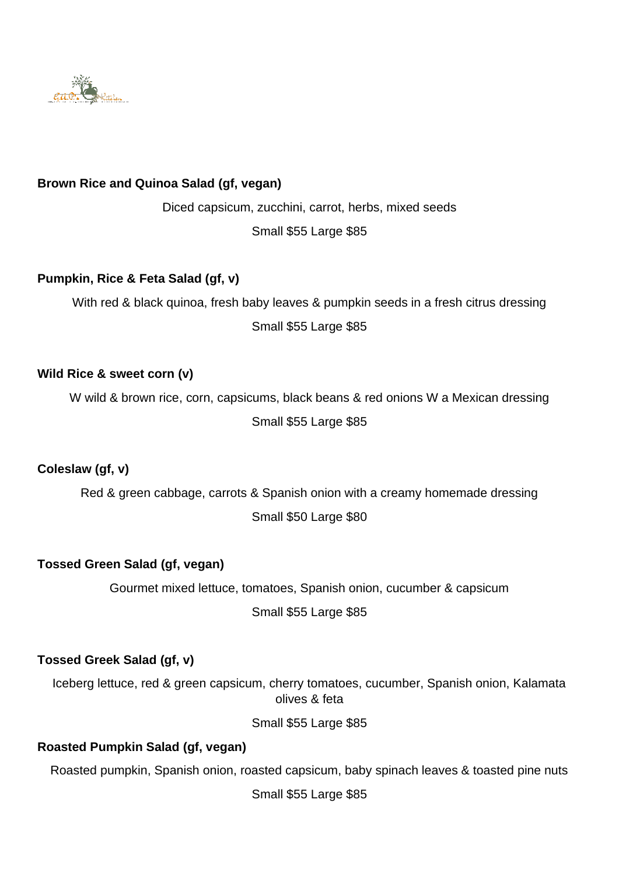

# **Brown Rice and Quinoa Salad (gf, vegan)**

Diced capsicum, zucchini, carrot, herbs, mixed seeds Small \$55 Large \$85

## **Pumpkin, Rice & Feta Salad (gf, v)**

With red & black quinoa, fresh baby leaves & pumpkin seeds in a fresh citrus dressing Small \$55 Large \$85

## **Wild Rice & sweet corn (v)**

W wild & brown rice, corn, capsicums, black beans & red onions W a Mexican dressing Small \$55 Large \$85

# **Coleslaw (gf, v)**

Red & green cabbage, carrots & Spanish onion with a creamy homemade dressing Small \$50 Large \$80

## **Tossed Green Salad (gf, vegan)**

Gourmet mixed lettuce, tomatoes, Spanish onion, cucumber & capsicum Small \$55 Large \$85

# **Tossed Greek Salad (gf, v)**

Iceberg lettuce, red & green capsicum, cherry tomatoes, cucumber, Spanish onion, Kalamata olives & feta

Small \$55 Large \$85

## **Roasted Pumpkin Salad (gf, vegan)**

Roasted pumpkin, Spanish onion, roasted capsicum, baby spinach leaves & toasted pine nuts

Small \$55 Large \$85